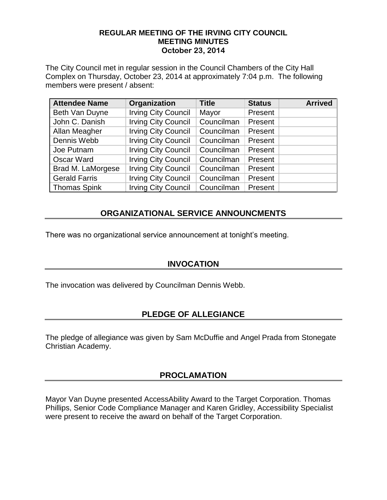### **REGULAR MEETING OF THE IRVING CITY COUNCIL MEETING MINUTES October 23, 2014**

The City Council met in regular session in the Council Chambers of the City Hall Complex on Thursday, October 23, 2014 at approximately 7:04 p.m. The following members were present / absent:

| <b>Attendee Name</b> | Organization               | <b>Title</b> | <b>Status</b> | <b>Arrived</b> |
|----------------------|----------------------------|--------------|---------------|----------------|
| Beth Van Duyne       | <b>Irving City Council</b> | Mayor        | Present       |                |
| John C. Danish       | <b>Irving City Council</b> | Councilman   | Present       |                |
| Allan Meagher        | <b>Irving City Council</b> | Councilman   | Present       |                |
| Dennis Webb          | <b>Irving City Council</b> | Councilman   | Present       |                |
| Joe Putnam           | <b>Irving City Council</b> | Councilman   | Present       |                |
| <b>Oscar Ward</b>    | <b>Irving City Council</b> | Councilman   | Present       |                |
| Brad M. LaMorgese    | <b>Irving City Council</b> | Councilman   | Present       |                |
| <b>Gerald Farris</b> | <b>Irving City Council</b> | Councilman   | Present       |                |
| <b>Thomas Spink</b>  | <b>Irving City Council</b> | Councilman   | Present       |                |

## **ORGANIZATIONAL SERVICE ANNOUNCMENTS**

There was no organizational service announcement at tonight's meeting.

## **INVOCATION**

The invocation was delivered by Councilman Dennis Webb.

## **PLEDGE OF ALLEGIANCE**

The pledge of allegiance was given by Sam McDuffie and Angel Prada from Stonegate Christian Academy.

## **PROCLAMATION**

Mayor Van Duyne presented AccessAbility Award to the Target Corporation. Thomas Phillips, Senior Code Compliance Manager and Karen Gridley, Accessibility Specialist were present to receive the award on behalf of the Target Corporation.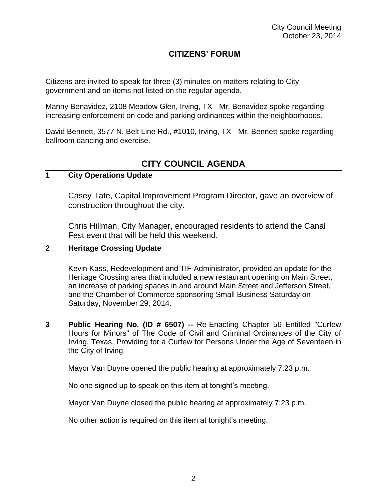Citizens are invited to speak for three (3) minutes on matters relating to City government and on items not listed on the regular agenda.

Manny Benavidez, 2108 Meadow Glen, Irving, TX - Mr. Benavidez spoke regarding increasing enforcement on code and parking ordinances within the neighborhoods.

David Bennett, 3577 N. Belt Line Rd., #1010, Irving, TX - Mr. Bennett spoke regarding ballroom dancing and exercise.

# **CITY COUNCIL AGENDA**

## **1 City Operations Update**

Casey Tate, Capital Improvement Program Director, gave an overview of construction throughout the city.

Chris Hillman, City Manager, encouraged residents to attend the Canal Fest event that will be held this weekend.

### **2 Heritage Crossing Update**

Kevin Kass, Redevelopment and TIF Administrator, provided an update for the Heritage Crossing area that included a new restaurant opening on Main Street, an increase of parking spaces in and around Main Street and Jefferson Street, and the Chamber of Commerce sponsoring Small Business Saturday on Saturday, November 29, 2014.

**3 Public Hearing No. (ID # 6507) --** Re-Enacting Chapter 56 Entitled "Curfew Hours for Minors" of The Code of Civil and Criminal Ordinances of the City of Irving, Texas, Providing for a Curfew for Persons Under the Age of Seventeen in the City of Irving

Mayor Van Duyne opened the public hearing at approximately 7:23 p.m.

No one signed up to speak on this item at tonight's meeting.

Mayor Van Duyne closed the public hearing at approximately 7:23 p.m.

No other action is required on this item at tonight's meeting.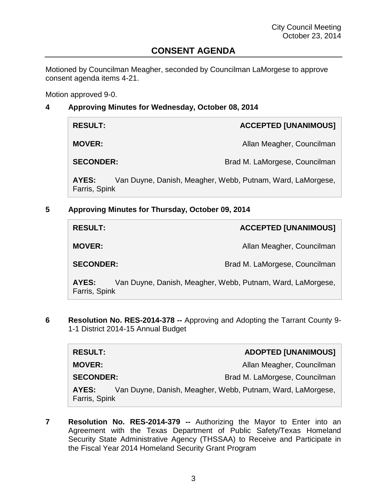## **CONSENT AGENDA**

Motioned by Councilman Meagher, seconded by Councilman LaMorgese to approve consent agenda items 4-21.

Motion approved 9-0.

### **4 Approving Minutes for Wednesday, October 08, 2014**

| <b>RESULT:</b>         | <b>ACCEPTED [UNANIMOUS]</b>                                |
|------------------------|------------------------------------------------------------|
| <b>MOVER:</b>          | Allan Meagher, Councilman                                  |
| <b>SECONDER:</b>       | Brad M. LaMorgese, Councilman                              |
| AYES:<br>Farris, Spink | Van Duyne, Danish, Meagher, Webb, Putnam, Ward, LaMorgese, |

**5 Approving Minutes for Thursday, October 09, 2014**

| <b>RESULT:</b>         | <b>ACCEPTED [UNANIMOUS]</b>                                |
|------------------------|------------------------------------------------------------|
| <b>MOVER:</b>          | Allan Meagher, Councilman                                  |
| <b>SECONDER:</b>       | Brad M. LaMorgese, Councilman                              |
| AYES:<br>Farris, Spink | Van Duyne, Danish, Meagher, Webb, Putnam, Ward, LaMorgese, |

**6 Resolution No. RES-2014-378 --** Approving and Adopting the Tarrant County 9- 1-1 District 2014-15 Annual Budget

| <b>RESULT:</b>         | <b>ADOPTED [UNANIMOUS]</b>                                 |
|------------------------|------------------------------------------------------------|
| <b>MOVER:</b>          | Allan Meagher, Councilman                                  |
| <b>SECONDER:</b>       | Brad M. LaMorgese, Councilman                              |
| AYES:<br>Farris, Spink | Van Duyne, Danish, Meagher, Webb, Putnam, Ward, LaMorgese, |

**7 Resolution No. RES-2014-379 --** Authorizing the Mayor to Enter into an Agreement with the Texas Department of Public Safety/Texas Homeland Security State Administrative Agency (THSSAA) to Receive and Participate in the Fiscal Year 2014 Homeland Security Grant Program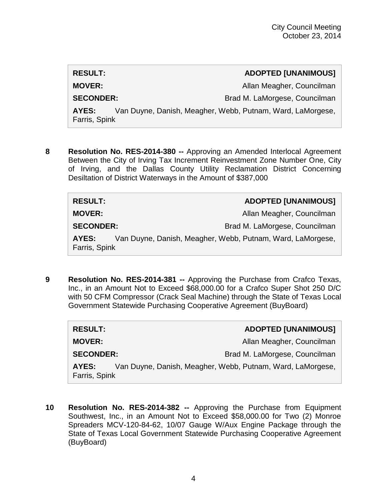**RESULT: ADOPTED [UNANIMOUS] MOVER:** Allan Meagher, Councilman SECONDER: Brad M. LaMorgese, Councilman **AYES:** Van Duyne, Danish, Meagher, Webb, Putnam, Ward, LaMorgese,

Farris, Spink

**8 Resolution No. RES-2014-380 --** Approving an Amended Interlocal Agreement Between the City of Irving Tax Increment Reinvestment Zone Number One, City of Irving, and the Dallas County Utility Reclamation District Concerning Desiltation of District Waterways in the Amount of \$387,000

| <b>RESULT:</b>         | <b>ADOPTED [UNANIMOUS]</b>                                 |
|------------------------|------------------------------------------------------------|
| <b>MOVER:</b>          | Allan Meagher, Councilman                                  |
| <b>SECONDER:</b>       | Brad M. LaMorgese, Councilman                              |
| AYES:<br>Farris, Spink | Van Duyne, Danish, Meagher, Webb, Putnam, Ward, LaMorgese, |

**9 Resolution No. RES-2014-381 --** Approving the Purchase from Crafco Texas, Inc., in an Amount Not to Exceed \$68,000.00 for a Crafco Super Shot 250 D/C with 50 CFM Compressor (Crack Seal Machine) through the State of Texas Local Government Statewide Purchasing Cooperative Agreement (BuyBoard)

| <b>RESULT:</b>         | <b>ADOPTED [UNANIMOUS]</b>                                 |
|------------------------|------------------------------------------------------------|
| <b>MOVER:</b>          | Allan Meagher, Councilman                                  |
| <b>SECONDER:</b>       | Brad M. LaMorgese, Councilman                              |
| AYES:<br>Farris, Spink | Van Duyne, Danish, Meagher, Webb, Putnam, Ward, LaMorgese, |

**10 Resolution No. RES-2014-382 --** Approving the Purchase from Equipment Southwest, Inc., in an Amount Not to Exceed \$58,000.00 for Two (2) Monroe Spreaders MCV-120-84-62, 10/07 Gauge W/Aux Engine Package through the State of Texas Local Government Statewide Purchasing Cooperative Agreement (BuyBoard)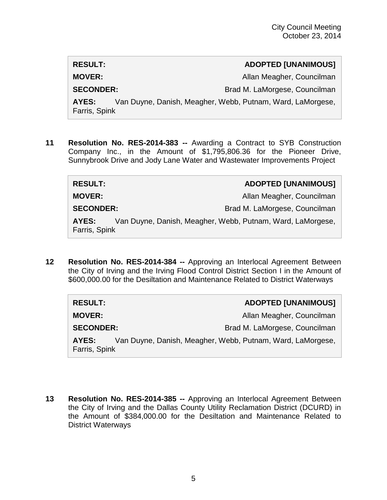# **RESULT: ADOPTED [UNANIMOUS] MOVER:** Allan Meagher, Councilman **SECONDER:** Brad M. LaMorgese, Councilman **AYES:** Van Duyne, Danish, Meagher, Webb, Putnam, Ward, LaMorgese, Farris, Spink

**11 Resolution No. RES-2014-383 --** Awarding a Contract to SYB Construction Company Inc., in the Amount of \$1,795,806.36 for the Pioneer Drive, Sunnybrook Drive and Jody Lane Water and Wastewater Improvements Project

**RESULT: ADOPTED [UNANIMOUS] MOVER:** Allan Meagher, Councilman **SECONDER:** Brad M. LaMorgese, Councilman **AYES:** Van Duyne, Danish, Meagher, Webb, Putnam, Ward, LaMorgese, Farris, Spink

**12 Resolution No. RES-2014-384 --** Approving an Interlocal Agreement Between the City of Irving and the Irving Flood Control District Section I in the Amount of \$600,000.00 for the Desiltation and Maintenance Related to District Waterways

| <b>RESULT:</b>         | <b>ADOPTED [UNANIMOUS]</b>                                 |
|------------------------|------------------------------------------------------------|
| <b>MOVER:</b>          | Allan Meagher, Councilman                                  |
| <b>SECONDER:</b>       | Brad M. LaMorgese, Councilman                              |
| AYES:<br>Farris, Spink | Van Duyne, Danish, Meagher, Webb, Putnam, Ward, LaMorgese, |

**13 Resolution No. RES-2014-385 --** Approving an Interlocal Agreement Between the City of Irving and the Dallas County Utility Reclamation District (DCURD) in the Amount of \$384,000.00 for the Desiltation and Maintenance Related to District Waterways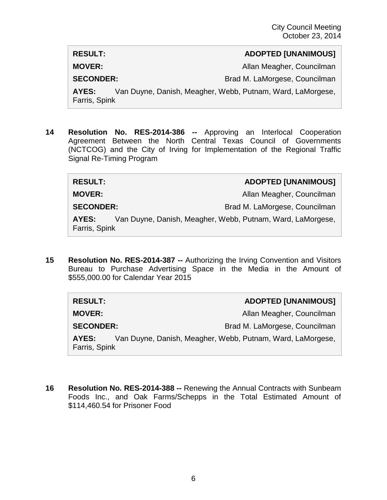**MOVER:** Allan Meagher, Councilman

**SECONDER:** Brad M. LaMorgese, Councilman

**AYES:** Van Duyne, Danish, Meagher, Webb, Putnam, Ward, LaMorgese, Farris, Spink

**14 Resolution No. RES-2014-386 --** Approving an Interlocal Cooperation Agreement Between the North Central Texas Council of Governments (NCTCOG) and the City of Irving for Implementation of the Regional Traffic Signal Re-Timing Program

**RESULT: ADOPTED [UNANIMOUS]**

**MOVER:** Allan Meagher, Councilman

**SECONDER:** Brad M. LaMorgese, Councilman

**AYES:** Van Duyne, Danish, Meagher, Webb, Putnam, Ward, LaMorgese, Farris, Spink

**15 Resolution No. RES-2014-387 --** Authorizing the Irving Convention and Visitors Bureau to Purchase Advertising Space in the Media in the Amount of \$555,000.00 for Calendar Year 2015

| <b>RESULT:</b>         | <b>ADOPTED [UNANIMOUS]</b>                                 |
|------------------------|------------------------------------------------------------|
| <b>MOVER:</b>          | Allan Meagher, Councilman                                  |
| <b>SECONDER:</b>       | Brad M. LaMorgese, Councilman                              |
| AYES:<br>Farris, Spink | Van Duyne, Danish, Meagher, Webb, Putnam, Ward, LaMorgese, |

**16 Resolution No. RES-2014-388 --** Renewing the Annual Contracts with Sunbeam Foods Inc., and Oak Farms/Schepps in the Total Estimated Amount of \$114,460.54 for Prisoner Food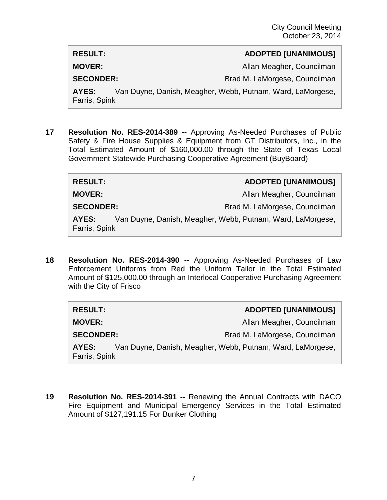**MOVER:** Allan Meagher, Councilman

**SECONDER:** Brad M. LaMorgese, Councilman

**AYES:** Van Duyne, Danish, Meagher, Webb, Putnam, Ward, LaMorgese, Farris, Spink

**17 Resolution No. RES-2014-389 --** Approving As-Needed Purchases of Public Safety & Fire House Supplies & Equipment from GT Distributors, Inc., in the Total Estimated Amount of \$160,000.00 through the State of Texas Local Government Statewide Purchasing Cooperative Agreement (BuyBoard)

**RESULT: ADOPTED [UNANIMOUS] MOVER:** Allan Meagher, Councilman **SECONDER:** Brad M. LaMorgese, Councilman

**AYES:** Van Duyne, Danish, Meagher, Webb, Putnam, Ward, LaMorgese, Farris, Spink

**18 Resolution No. RES-2014-390 --** Approving As-Needed Purchases of Law Enforcement Uniforms from Red the Uniform Tailor in the Total Estimated Amount of \$125,000.00 through an Interlocal Cooperative Purchasing Agreement with the City of Frisco

| <b>RESULT:</b>         | <b>ADOPTED [UNANIMOUS]</b>                                 |
|------------------------|------------------------------------------------------------|
| <b>MOVER:</b>          | Allan Meagher, Councilman                                  |
| <b>SECONDER:</b>       | Brad M. LaMorgese, Councilman                              |
| AYES:<br>Farris, Spink | Van Duyne, Danish, Meagher, Webb, Putnam, Ward, LaMorgese, |

**19 Resolution No. RES-2014-391 --** Renewing the Annual Contracts with DACO Fire Equipment and Municipal Emergency Services in the Total Estimated Amount of \$127,191.15 For Bunker Clothing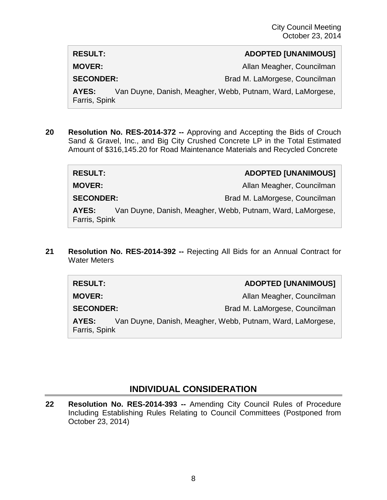**MOVER:** Allan Meagher, Councilman

**SECONDER:** Brad M. LaMorgese, Councilman

**AYES:** Van Duyne, Danish, Meagher, Webb, Putnam, Ward, LaMorgese, Farris, Spink

**20 Resolution No. RES-2014-372 --** Approving and Accepting the Bids of Crouch Sand & Gravel, Inc., and Big City Crushed Concrete LP in the Total Estimated Amount of \$316,145.20 for Road Maintenance Materials and Recycled Concrete

| <b>RESULT:</b>         | <b>ADOPTED [UNANIMOUS]</b>                                 |
|------------------------|------------------------------------------------------------|
| <b>MOVER:</b>          | Allan Meagher, Councilman                                  |
| <b>SECONDER:</b>       | Brad M. LaMorgese, Councilman                              |
| AYES:<br>Farris, Spink | Van Duyne, Danish, Meagher, Webb, Putnam, Ward, LaMorgese, |

**21 Resolution No. RES-2014-392 --** Rejecting All Bids for an Annual Contract for Water Meters

| <b>RESULT:</b>         | <b>ADOPTED [UNANIMOUS]</b>                                 |  |
|------------------------|------------------------------------------------------------|--|
| <b>MOVER:</b>          | Allan Meagher, Councilman                                  |  |
| <b>SECONDER:</b>       | Brad M. LaMorgese, Councilman                              |  |
| AYES:<br>Farris, Spink | Van Duyne, Danish, Meagher, Webb, Putnam, Ward, LaMorgese, |  |

## **INDIVIDUAL CONSIDERATION**

**22 Resolution No. RES-2014-393 --** Amending City Council Rules of Procedure Including Establishing Rules Relating to Council Committees (Postponed from October 23, 2014)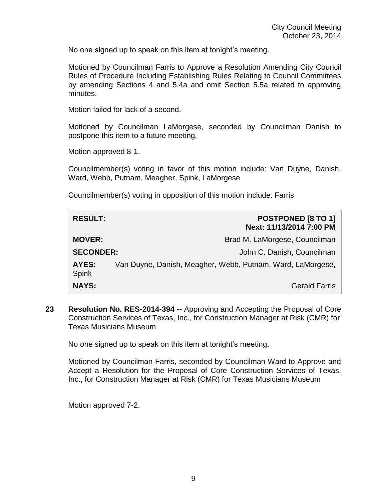No one signed up to speak on this item at tonight's meeting.

Motioned by Councilman Farris to Approve a Resolution Amending City Council Rules of Procedure Including Establishing Rules Relating to Council Committees by amending Sections 4 and 5.4a and omit Section 5.5a related to approving minutes.

Motion failed for lack of a second.

Motioned by Councilman LaMorgese, seconded by Councilman Danish to postpone this item to a future meeting.

Motion approved 8-1.

Councilmember(s) voting in favor of this motion include: Van Duyne, Danish, Ward, Webb, Putnam, Meagher, Spink, LaMorgese

Councilmember(s) voting in opposition of this motion include: Farris

| <b>RESULT:</b>        | <b>POSTPONED [8 TO 1]</b><br>Next: 11/13/2014 7:00 PM      |
|-----------------------|------------------------------------------------------------|
| <b>MOVER:</b>         | Brad M. LaMorgese, Councilman                              |
| <b>SECONDER:</b>      | John C. Danish, Councilman                                 |
| AYES:<br><b>Spink</b> | Van Duyne, Danish, Meagher, Webb, Putnam, Ward, LaMorgese, |
| <b>NAYS:</b>          | <b>Gerald Farris</b>                                       |

**23 Resolution No. RES-2014-394 --** Approving and Accepting the Proposal of Core Construction Services of Texas, Inc., for Construction Manager at Risk (CMR) for Texas Musicians Museum

No one signed up to speak on this item at tonight's meeting.

Motioned by Councilman Farris, seconded by Councilman Ward to Approve and Accept a Resolution for the Proposal of Core Construction Services of Texas, Inc., for Construction Manager at Risk (CMR) for Texas Musicians Museum

Motion approved 7-2.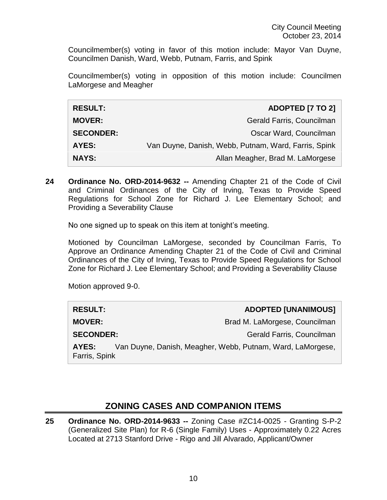Councilmember(s) voting in favor of this motion include: Mayor Van Duyne, Councilmen Danish, Ward, Webb, Putnam, Farris, and Spink

Councilmember(s) voting in opposition of this motion include: Councilmen LaMorgese and Meagher

| <b>RESULT:</b>   | ADOPTED [7 TO 2]                                     |
|------------------|------------------------------------------------------|
| <b>MOVER:</b>    | Gerald Farris, Councilman                            |
| <b>SECONDER:</b> | Oscar Ward, Councilman                               |
| <b>AYES:</b>     | Van Duyne, Danish, Webb, Putnam, Ward, Farris, Spink |
| <b>NAYS:</b>     | Allan Meagher, Brad M. LaMorgese                     |

**24 Ordinance No. ORD-2014-9632 --** Amending Chapter 21 of the Code of Civil and Criminal Ordinances of the City of Irving, Texas to Provide Speed Regulations for School Zone for Richard J. Lee Elementary School; and Providing a Severability Clause

No one signed up to speak on this item at tonight's meeting.

Motioned by Councilman LaMorgese, seconded by Councilman Farris, To Approve an Ordinance Amending Chapter 21 of the Code of Civil and Criminal Ordinances of the City of Irving, Texas to Provide Speed Regulations for School Zone for Richard J. Lee Elementary School; and Providing a Severability Clause

Motion approved 9-0.

| <b>RESULT:</b>                                                                       | <b>ADOPTED [UNANIMOUS]</b>    |
|--------------------------------------------------------------------------------------|-------------------------------|
| <b>MOVER:</b>                                                                        | Brad M. LaMorgese, Councilman |
| <b>SECONDER:</b>                                                                     | Gerald Farris, Councilman     |
| Van Duyne, Danish, Meagher, Webb, Putnam, Ward, LaMorgese,<br>AYES:<br>Farris, Spink |                               |

## **ZONING CASES AND COMPANION ITEMS**

**25 Ordinance No. ORD-2014-9633 --** Zoning Case #ZC14-0025 - Granting S-P-2 (Generalized Site Plan) for R-6 (Single Family) Uses - Approximately 0.22 Acres Located at 2713 Stanford Drive - Rigo and Jill Alvarado, Applicant/Owner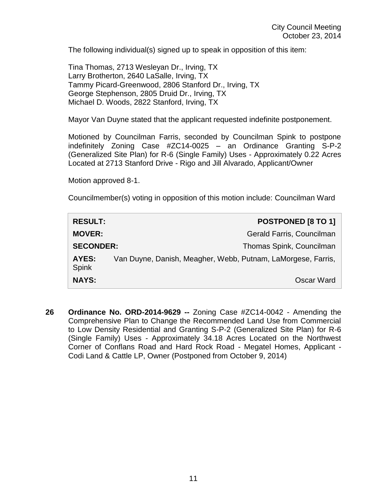The following individual(s) signed up to speak in opposition of this item:

Tina Thomas, 2713 Wesleyan Dr., Irving, TX Larry Brotherton, 2640 LaSalle, Irving, TX Tammy Picard-Greenwood, 2806 Stanford Dr., Irving, TX George Stephenson, 2805 Druid Dr., Irving, TX Michael D. Woods, 2822 Stanford, Irving, TX

Mayor Van Duyne stated that the applicant requested indefinite postponement.

Motioned by Councilman Farris, seconded by Councilman Spink to postpone indefinitely Zoning Case #ZC14-0025 – an Ordinance Granting S-P-2 (Generalized Site Plan) for R-6 (Single Family) Uses - Approximately 0.22 Acres Located at 2713 Stanford Drive - Rigo and Jill Alvarado, Applicant/Owner

Motion approved 8-1.

Councilmember(s) voting in opposition of this motion include: Councilman Ward

| <b>RESULT:</b>        | <b>POSTPONED [8 TO 1]</b>                                    |
|-----------------------|--------------------------------------------------------------|
| <b>MOVER:</b>         | Gerald Farris, Councilman                                    |
| <b>SECONDER:</b>      | Thomas Spink, Councilman                                     |
| AYES:<br><b>Spink</b> | Van Duyne, Danish, Meagher, Webb, Putnam, LaMorgese, Farris, |
| <b>NAYS:</b>          | Oscar Ward                                                   |

**26 Ordinance No. ORD-2014-9629 --** Zoning Case #ZC14-0042 - Amending the Comprehensive Plan to Change the Recommended Land Use from Commercial to Low Density Residential and Granting S-P-2 (Generalized Site Plan) for R-6 (Single Family) Uses - Approximately 34.18 Acres Located on the Northwest Corner of Conflans Road and Hard Rock Road - Megatel Homes, Applicant - Codi Land & Cattle LP, Owner (Postponed from October 9, 2014)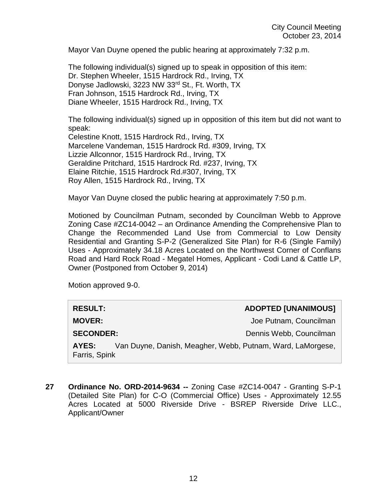Mayor Van Duyne opened the public hearing at approximately 7:32 p.m.

The following individual(s) signed up to speak in opposition of this item: Dr. Stephen Wheeler, 1515 Hardrock Rd., Irving, TX Donyse Jadlowski, 3223 NW 33rd St., Ft. Worth, TX Fran Johnson, 1515 Hardrock Rd., Irving, TX Diane Wheeler, 1515 Hardrock Rd., Irving, TX

The following individual(s) signed up in opposition of this item but did not want to speak:

Celestine Knott, 1515 Hardrock Rd., Irving, TX Marcelene Vandeman, 1515 Hardrock Rd. #309, Irving, TX Lizzie Allconnor, 1515 Hardrock Rd., Irving, TX Geraldine Pritchard, 1515 Hardrock Rd. #237, Irving, TX Elaine Ritchie, 1515 Hardrock Rd.#307, Irving, TX Roy Allen, 1515 Hardrock Rd., Irving, TX

Mayor Van Duyne closed the public hearing at approximately 7:50 p.m.

Motioned by Councilman Putnam, seconded by Councilman Webb to Approve Zoning Case #ZC14-0042 – an Ordinance Amending the Comprehensive Plan to Change the Recommended Land Use from Commercial to Low Density Residential and Granting S-P-2 (Generalized Site Plan) for R-6 (Single Family) Uses - Approximately 34.18 Acres Located on the Northwest Corner of Conflans Road and Hard Rock Road - Megatel Homes, Applicant - Codi Land & Cattle LP, Owner (Postponed from October 9, 2014)

Motion approved 9-0.

| <b>RESULT:</b>                                                                       | <b>ADOPTED [UNANIMOUS]</b> |
|--------------------------------------------------------------------------------------|----------------------------|
| <b>MOVER:</b>                                                                        | Joe Putnam, Councilman     |
| <b>SECONDER:</b>                                                                     | Dennis Webb, Councilman    |
| Van Duyne, Danish, Meagher, Webb, Putnam, Ward, LaMorgese,<br>AYES:<br>Farris, Spink |                            |

**27 Ordinance No. ORD-2014-9634 --** Zoning Case #ZC14-0047 - Granting S-P-1 (Detailed Site Plan) for C-O (Commercial Office) Uses - Approximately 12.55 Acres Located at 5000 Riverside Drive - BSREP Riverside Drive LLC., Applicant/Owner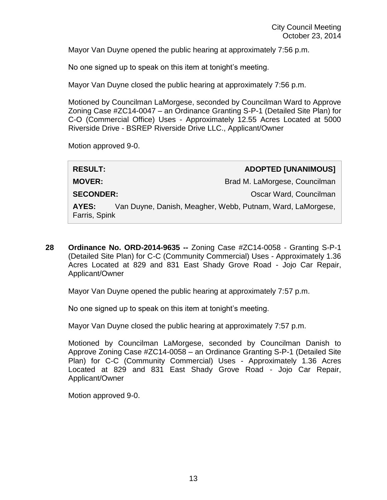Mayor Van Duyne opened the public hearing at approximately 7:56 p.m.

No one signed up to speak on this item at tonight's meeting.

Mayor Van Duyne closed the public hearing at approximately 7:56 p.m.

Motioned by Councilman LaMorgese, seconded by Councilman Ward to Approve Zoning Case #ZC14-0047 – an Ordinance Granting S-P-1 (Detailed Site Plan) for C-O (Commercial Office) Uses - Approximately 12.55 Acres Located at 5000 Riverside Drive - BSREP Riverside Drive LLC., Applicant/Owner

Motion approved 9-0.

| <b>RESULT:</b>                                                                       |  | <b>ADOPTED [UNANIMOUS]</b>    |
|--------------------------------------------------------------------------------------|--|-------------------------------|
| <b>MOVER:</b>                                                                        |  | Brad M. LaMorgese, Councilman |
| <b>SECONDER:</b>                                                                     |  | Oscar Ward, Councilman        |
| Van Duyne, Danish, Meagher, Webb, Putnam, Ward, LaMorgese,<br>AYES:<br>Farris, Spink |  |                               |
|                                                                                      |  |                               |

**28 Ordinance No. ORD-2014-9635 --** Zoning Case #ZC14-0058 - Granting S-P-1 (Detailed Site Plan) for C-C (Community Commercial) Uses - Approximately 1.36 Acres Located at 829 and 831 East Shady Grove Road - Jojo Car Repair, Applicant/Owner

Mayor Van Duyne opened the public hearing at approximately 7:57 p.m.

No one signed up to speak on this item at tonight's meeting.

Mayor Van Duyne closed the public hearing at approximately 7:57 p.m.

Motioned by Councilman LaMorgese, seconded by Councilman Danish to Approve Zoning Case #ZC14-0058 – an Ordinance Granting S-P-1 (Detailed Site Plan) for C-C (Community Commercial) Uses - Approximately 1.36 Acres Located at 829 and 831 East Shady Grove Road - Jojo Car Repair, Applicant/Owner

Motion approved 9-0.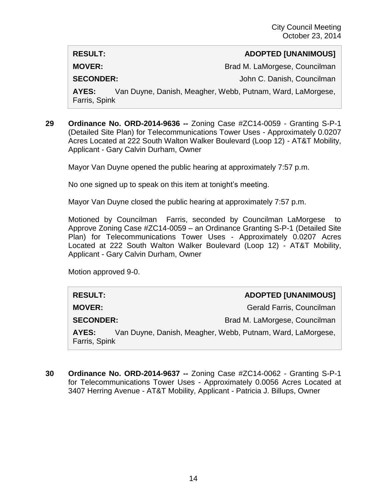**MOVER:** Brad M. LaMorgese, Councilman

**SECONDER:** John C. Danish, Councilman

**AYES:** Van Duyne, Danish, Meagher, Webb, Putnam, Ward, LaMorgese, Farris, Spink

**29 Ordinance No. ORD-2014-9636 --** Zoning Case #ZC14-0059 - Granting S-P-1 (Detailed Site Plan) for Telecommunications Tower Uses - Approximately 0.0207 Acres Located at 222 South Walton Walker Boulevard (Loop 12) - AT&T Mobility, Applicant - Gary Calvin Durham, Owner

Mayor Van Duyne opened the public hearing at approximately 7:57 p.m.

No one signed up to speak on this item at tonight's meeting.

Mayor Van Duyne closed the public hearing at approximately 7:57 p.m.

Motioned by Councilman Farris, seconded by Councilman LaMorgese to Approve Zoning Case #ZC14-0059 – an Ordinance Granting S-P-1 (Detailed Site Plan) for Telecommunications Tower Uses - Approximately 0.0207 Acres Located at 222 South Walton Walker Boulevard (Loop 12) - AT&T Mobility, Applicant - Gary Calvin Durham, Owner

Motion approved 9-0.

## **RESULT: ADOPTED [UNANIMOUS]**

**MOVER:** Gerald Farris, Councilman

**SECONDER:** Brad M. LaMorgese, Councilman

**AYES:** Van Duyne, Danish, Meagher, Webb, Putnam, Ward, LaMorgese, Farris, Spink

**30 Ordinance No. ORD-2014-9637 --** Zoning Case #ZC14-0062 - Granting S-P-1 for Telecommunications Tower Uses - Approximately 0.0056 Acres Located at 3407 Herring Avenue - AT&T Mobility, Applicant - Patricia J. Billups, Owner